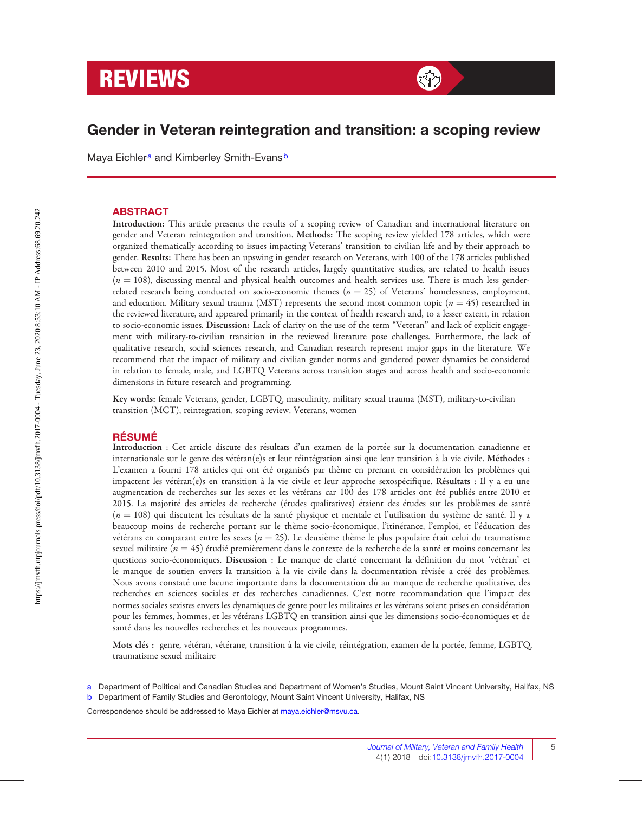# **REVIEWS** *with the second of the second* $\mathbb{R}^2$

## Gender in Veteran reintegration and transition: a scoping review

Maya Eichler<sup>a</sup> and Kimberley Smith-Evans<sup>b</sup>

#### ABSTRACT

Introduction: This article presents the results of a scoping review of Canadian and international literature on gender and Veteran reintegration and transition. Methods: The scoping review yielded 178 articles, which were organized thematically according to issues impacting Veterans' transition to civilian life and by their approach to gender. Results: There has been an upswing in gender research on Veterans, with 100 of the 178 articles published between 2010 and 2015. Most of the research articles, largely quantitative studies, are related to health issues  $(n = 108)$ , discussing mental and physical health outcomes and health services use. There is much less genderrelated research being conducted on socio-economic themes  $(n = 25)$  of Veterans' homelessness, employment, and education. Military sexual trauma (MST) represents the second most common topic ( $n = 45$ ) researched in the reviewed literature, and appeared primarily in the context of health research and, to a lesser extent, in relation to socio-economic issues. Discussion: Lack of clarity on the use of the term ''Veteran'' and lack of explicit engagement with military-to-civilian transition in the reviewed literature pose challenges. Furthermore, the lack of qualitative research, social sciences research, and Canadian research represent major gaps in the literature. We recommend that the impact of military and civilian gender norms and gendered power dynamics be considered in relation to female, male, and LGBTQ Veterans across transition stages and across health and socio-economic dimensions in future research and programming.

Key words: female Veterans, gender, LGBTQ, masculinity, military sexual trauma (MST), military-to-civilian transition (MCT), reintegration, scoping review, Veterans, women

#### **RÉSUMÉ**

Introduction : Cet article discute des résultats d'un examen de la portée sur la documentation canadienne et internationale sur le genre des vétéran(e)s et leur réintégration ainsi que leur transition à la vie civile. Méthodes : L'examen a fourni 178 articles qui ont été organisés par thème en prenant en considération les problèmes qui impactent les vétéran(e)s en transition à la vie civile et leur approche sexospécifique. Résultats : Il y a eu une augmentation de recherches sur les sexes et les vétérans car 100 des 178 articles ont été publiés entre 2010 et 2015. La majorité des articles de recherche (études qualitatives) étaient des études sur les problèmes de santé  $(n = 108)$  qui discutent les résultats de la santé physique et mentale et l'utilisation du système de santé. Il y a beaucoup moins de recherche portant sur le thème socio-économique, l'itinérance, l'emploi, et l'éducation des vétérans en comparant entre les sexes ( $n = 25$ ). Le deuxième thème le plus populaire était celui du traumatisme sexuel militaire ( $n=45$ ) étudié premièrement dans le contexte de la recherche de la santé et moins concernant les questions socio-économiques. Discussion : Le manque de clarté concernant la définition du mot 'vétéran' et le manque de soutien envers la transition à la vie civile dans la documentation révisée a créé des problèmes. Nous avons constaté une lacune importante dans la documentation dû au manque de recherche qualitative, des recherches en sciences sociales et des recherches canadiennes. C'est notre recommandation que l'impact des normes sociales sexistes envers les dynamiques de genre pour les militaires et les vétérans soient prises en considération pour les femmes, hommes, et les vétérans LGBTQ en transition ainsi que les dimensions socio-économiques et de santé dans les nouvelles recherches et les nouveaux programmes.

Mots clés : genre, vétéran, vétérane, transition à la vie civile, réintégration, examen de la portée, femme, LGBTQ, traumatisme sexuel militaire

Correspondence should be addressed to Maya Eichler at [maya.eichler@msvu.ca.](mailto:maya.eichler@msvu.ca)

a Department of Political and Canadian Studies and Department of Women's Studies, Mount Saint Vincent University, Halifax, NS

b Department of Family Studies and Gerontology, Mount Saint Vincent University, Halifax, NS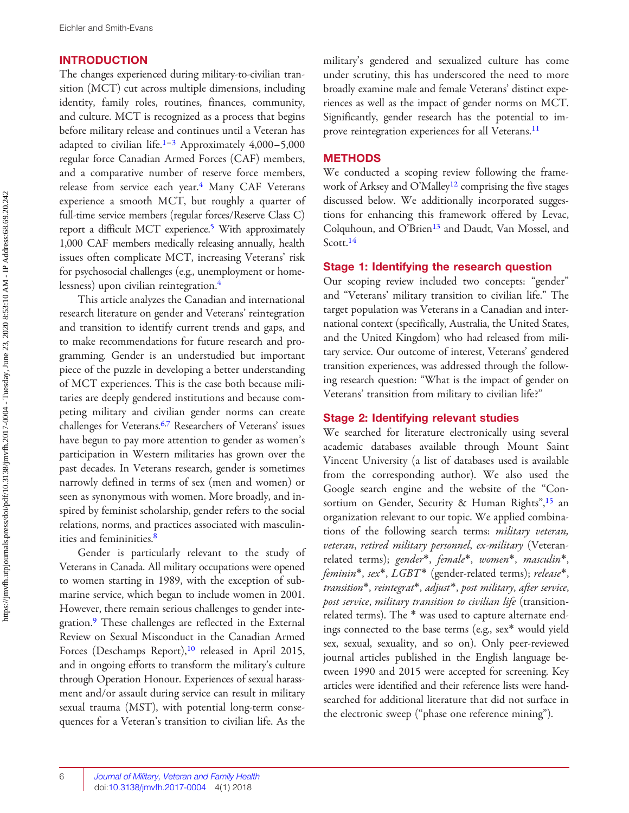#### <span id="page-1-0"></span>INTRODUCTION

The changes experienced during military-to-civilian transition (MCT) cut across multiple dimensions, including identity, family roles, routines, finances, community, and culture. MCT is recognized as a process that begins before military release and continues until a Veteran has adapted to civilian life.<sup>[1](#page-11-0)–[3](#page-11-0)</sup> Approximately  $4,000-5,000$ regular force Canadian Armed Forces (CAF) members, and a comparative number of reserve force members, release from service each year.<sup>[4](#page-11-0)</sup> Many CAF Veterans experience a smooth MCT, but roughly a quarter of full-time service members (regular forces/Reserve Class C) report a difficult MCT experience.[5](#page-11-0) With approximately 1,000 CAF members medically releasing annually, health issues often complicate MCT, increasing Veterans' risk for psychosocial challenges (e.g., unemployment or homelessness) upon civilian reintegration[.4](#page-11-0)

This article analyzes the Canadian and international research literature on gender and Veterans' reintegration and transition to identify current trends and gaps, and to make recommendations for future research and programming. Gender is an understudied but important piece of the puzzle in developing a better understanding of MCT experiences. This is the case both because militaries are deeply gendered institutions and because competing military and civilian gender norms can create challenges for Veterans[.6](#page-11-0),[7](#page-11-0) Researchers of Veterans' issues have begun to pay more attention to gender as women's participation in Western militaries has grown over the past decades. In Veterans research, gender is sometimes narrowly defined in terms of sex (men and women) or seen as synonymous with women. More broadly, and inspired by feminist scholarship, gender refers to the social relations, norms, and practices associated with masculinities and femininities[.8](#page-11-0)

Gender is particularly relevant to the study of Veterans in Canada. All military occupations were opened to women starting in 1989, with the exception of submarine service, which began to include women in 2001. However, there remain serious challenges to gender inte-gration.<sup>[9](#page-11-0)</sup> These challenges are reflected in the External Review on Sexual Misconduct in the Canadian Armed Forces (Deschamps Report),<sup>[10](#page-11-0)</sup> released in April 2015, and in ongoing efforts to transform the military's culture through Operation Honour. Experiences of sexual harassment and/or assault during service can result in military sexual trauma (MST), with potential long-term consequences for a Veteran's transition to civilian life. As the military's gendered and sexualized culture has come under scrutiny, this has underscored the need to more broadly examine male and female Veterans' distinct experiences as well as the impact of gender norms on MCT. Significantly, gender research has the potential to im-prove reintegration experiences for all Veterans.<sup>[11](#page-11-0)</sup>

#### **METHODS**

We conducted a scoping review following the frame-work of Arksey and O'Malley<sup>[12](#page-11-0)</sup> comprising the five stages discussed below. We additionally incorporated suggestions for enhancing this framework offered by Levac, Colquhoun, and O'Brien<sup>[13](#page-11-0)</sup> and Daudt, Van Mossel, and Scott.<sup>[14](#page-11-0)</sup>

#### Stage 1: Identifying the research question

Our scoping review included two concepts: "gender" and ''Veterans' military transition to civilian life.'' The target population was Veterans in a Canadian and international context (specifically, Australia, the United States, and the United Kingdom) who had released from military service. Our outcome of interest, Veterans' gendered transition experiences, was addressed through the following research question: ''What is the impact of gender on Veterans' transition from military to civilian life?''

#### Stage 2: Identifying relevant studies

We searched for literature electronically using several academic databases available through Mount Saint Vincent University (a list of databases used is available from the corresponding author). We also used the Google search engine and the website of the ''Con-sortium on Gender, Security & Human Rights",<sup>[15](#page-11-0)</sup> an organization relevant to our topic. We applied combinations of the following search terms: military veteran, veteran, retired military personnel, ex-military (Veteranrelated terms); gender\*, female\*, women\*, masculin\*, feminin\*, sex\*, LGBT\* (gender-related terms); release\*, transition\*, reintegrat\*, adjust\*, post military, after service, post service, military transition to civilian life (transitionrelated terms). The \* was used to capture alternate endings connected to the base terms (e.g., sex\* would yield sex, sexual, sexuality, and so on). Only peer-reviewed journal articles published in the English language between 1990 and 2015 were accepted for screening. Key articles were identified and their reference lists were handsearched for additional literature that did not surface in the electronic sweep (''phase one reference mining'').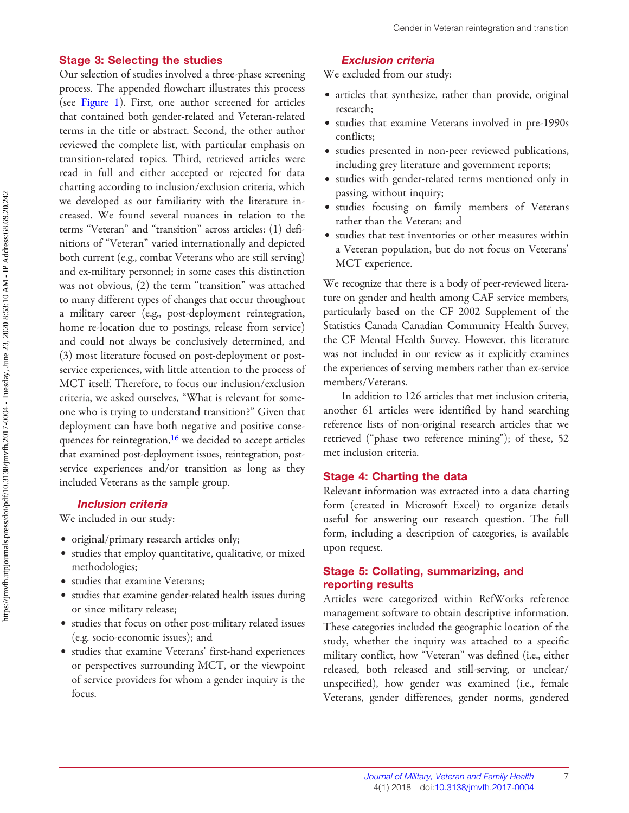#### <span id="page-2-0"></span>Stage 3: Selecting the studies

Our selection of studies involved a three-phase screening process. The appended flowchart illustrates this process (see [Figure 1](#page-3-0)). First, one author screened for articles that contained both gender-related and Veteran-related terms in the title or abstract. Second, the other author reviewed the complete list, with particular emphasis on transition-related topics. Third, retrieved articles were read in full and either accepted or rejected for data charting according to inclusion/exclusion criteria, which we developed as our familiarity with the literature increased. We found several nuances in relation to the terms ''Veteran'' and ''transition'' across articles: (1) definitions of ''Veteran'' varied internationally and depicted both current (e.g., combat Veterans who are still serving) and ex-military personnel; in some cases this distinction was not obvious, (2) the term "transition" was attached to many different types of changes that occur throughout a military career (e.g., post-deployment reintegration, home re-location due to postings, release from service) and could not always be conclusively determined, and (3) most literature focused on post-deployment or postservice experiences, with little attention to the process of MCT itself. Therefore, to focus our inclusion/exclusion criteria, we asked ourselves, ''What is relevant for someone who is trying to understand transition?'' Given that deployment can have both negative and positive conse-quences for reintegration,<sup>[16](#page-11-0)</sup> we decided to accept articles that examined post-deployment issues, reintegration, postservice experiences and/or transition as long as they included Veterans as the sample group.

#### Inclusion criteria

We included in our study:

- <sup>e</sup> original/primary research articles only;
- <sup>e</sup> studies that employ quantitative, qualitative, or mixed methodologies;
- <sup>e</sup> studies that examine Veterans;
- <sup>e</sup> studies that examine gender-related health issues during or since military release;
- <sup>e</sup> studies that focus on other post-military related issues (e.g. socio-economic issues); and
- <sup>e</sup> studies that examine Veterans' first-hand experiences or perspectives surrounding MCT, or the viewpoint of service providers for whom a gender inquiry is the focus.

#### Exclusion criteria

We excluded from our study:

- <sup>e</sup> articles that synthesize, rather than provide, original research;
- <sup>e</sup> studies that examine Veterans involved in pre-1990s conflicts;
- <sup>e</sup> studies presented in non-peer reviewed publications, including grey literature and government reports;
- <sup>e</sup> studies with gender-related terms mentioned only in passing, without inquiry;
- <sup>e</sup> studies focusing on family members of Veterans rather than the Veteran; and
- <sup>e</sup> studies that test inventories or other measures within a Veteran population, but do not focus on Veterans' MCT experience.

We recognize that there is a body of peer-reviewed literature on gender and health among CAF service members, particularly based on the CF 2002 Supplement of the Statistics Canada Canadian Community Health Survey, the CF Mental Health Survey. However, this literature was not included in our review as it explicitly examines the experiences of serving members rather than ex-service members/Veterans.

In addition to 126 articles that met inclusion criteria, another 61 articles were identified by hand searching reference lists of non-original research articles that we retrieved ("phase two reference mining"); of these, 52 met inclusion criteria.

#### Stage 4: Charting the data

Relevant information was extracted into a data charting form (created in Microsoft Excel) to organize details useful for answering our research question. The full form, including a description of categories, is available upon request.

#### Stage 5: Collating, summarizing, and reporting results

Articles were categorized within RefWorks reference management software to obtain descriptive information. These categories included the geographic location of the study, whether the inquiry was attached to a specific military conflict, how ''Veteran'' was defined (i.e., either released, both released and still-serving, or unclear/ unspecified), how gender was examined (i.e., female Veterans, gender differences, gender norms, gendered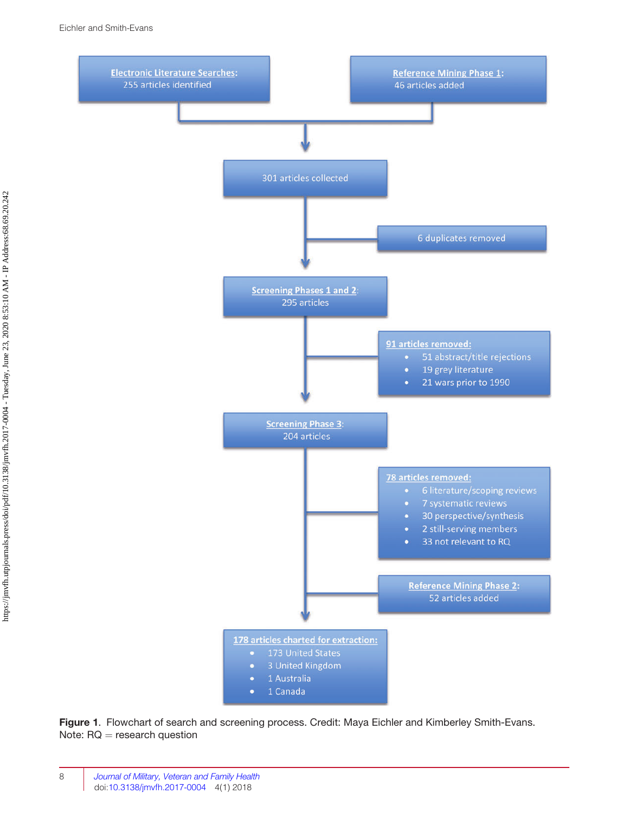<span id="page-3-0"></span>

Figure 1. Flowchart of search and screening process. Credit: Maya Eichler and Kimberley Smith-Evans. Note:  $RQ =$  research question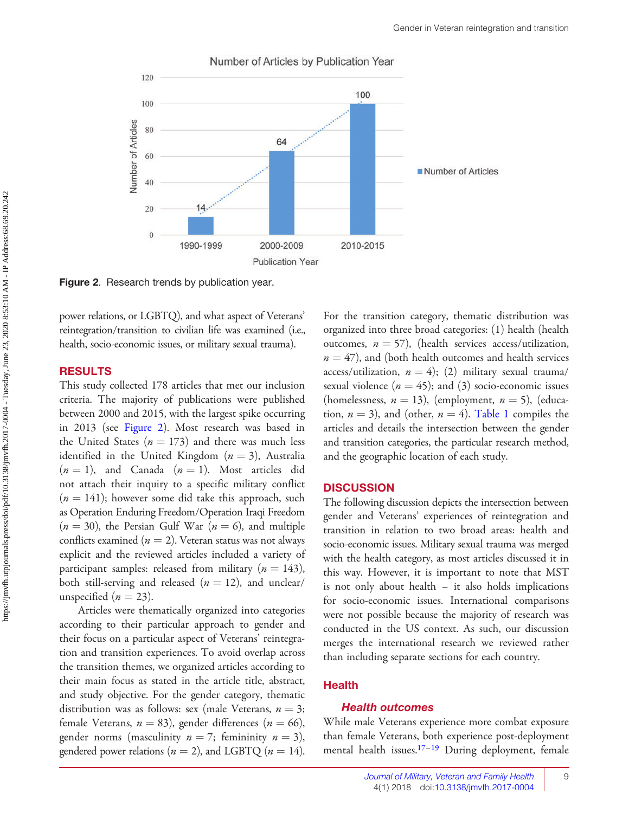<span id="page-4-0"></span>

Number of Articles by Publication Year

Figure 2. Research trends by publication year.

power relations, or LGBTQ), and what aspect of Veterans' reintegration/transition to civilian life was examined (i.e., health, socio-economic issues, or military sexual trauma).

#### RESULTS

This study collected 178 articles that met our inclusion criteria. The majority of publications were published between 2000 and 2015, with the largest spike occurring in 2013 (see Figure 2). Most research was based in the United States ( $n = 173$ ) and there was much less identified in the United Kingdom  $(n = 3)$ , Australia  $(n = 1)$ , and Canada  $(n = 1)$ . Most articles did not attach their inquiry to a specific military conflict  $(n = 141)$ ; however some did take this approach, such as Operation Enduring Freedom/Operation Iraqi Freedom  $(n = 30)$ , the Persian Gulf War  $(n = 6)$ , and multiple conflicts examined ( $n = 2$ ). Veteran status was not always explicit and the reviewed articles included a variety of participant samples: released from military ( $n = 143$ ), both still-serving and released ( $n = 12$ ), and unclear/ unspecified ( $n = 23$ ).

Articles were thematically organized into categories according to their particular approach to gender and their focus on a particular aspect of Veterans' reintegration and transition experiences. To avoid overlap across the transition themes, we organized articles according to their main focus as stated in the article title, abstract, and study objective. For the gender category, thematic distribution was as follows: sex (male Veterans,  $n = 3$ ; female Veterans,  $n = 83$ ), gender differences ( $n = 66$ ), gender norms (masculinity  $n = 7$ ; femininity  $n = 3$ ), gendered power relations ( $n = 2$ ), and LGBTQ ( $n = 14$ ). For the transition category, thematic distribution was organized into three broad categories: (1) health (health outcomes,  $n = 57$ ), (health services access/utilization,  $n = 47$ ), and (both health outcomes and health services access/utilization,  $n = 4$ ; (2) military sexual trauma/ sexual violence ( $n = 45$ ); and (3) socio-economic issues (homelessness,  $n = 13$ ), (employment,  $n = 5$ ), (education,  $n = 3$ ), and (other,  $n = 4$ ). [Table 1](#page-5-0) compiles the articles and details the intersection between the gender and transition categories, the particular research method, and the geographic location of each study.

#### **DISCUSSION**

The following discussion depicts the intersection between gender and Veterans' experiences of reintegration and transition in relation to two broad areas: health and socio-economic issues. Military sexual trauma was merged with the health category, as most articles discussed it in this way. However, it is important to note that MST is not only about health – it also holds implications for socio-economic issues. International comparisons were not possible because the majority of research was conducted in the US context. As such, our discussion merges the international research we reviewed rather than including separate sections for each country.

#### Health

#### Health outcomes

While male Veterans experience more combat exposure than female Veterans, both experience post-deployment mental health issues.<sup>[17](#page-11-0)-[19](#page-12-0)</sup> During deployment, female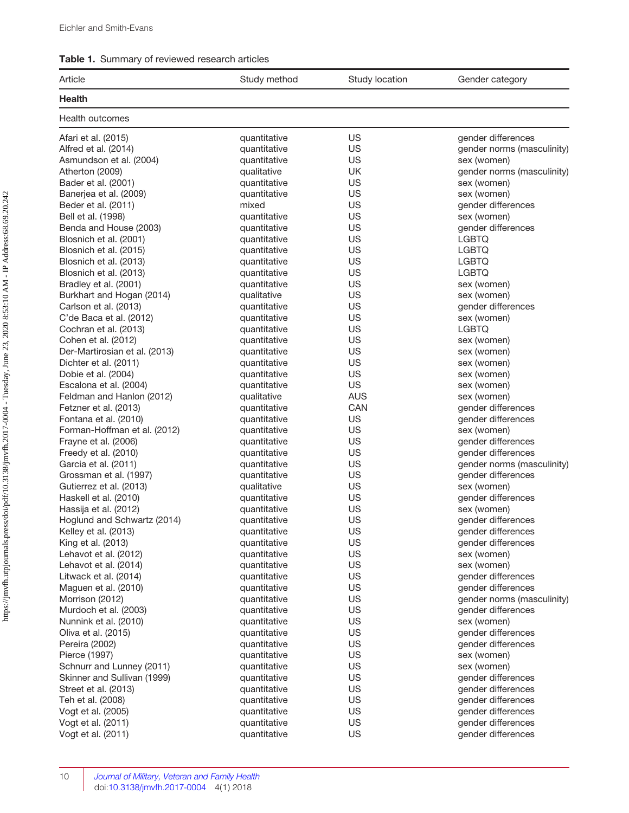#### <span id="page-5-0"></span>Table 1. Summary of reviewed research articles

| Article                       | Study method | Study location | Gender category            |
|-------------------------------|--------------|----------------|----------------------------|
| <b>Health</b>                 |              |                |                            |
| <b>Health outcomes</b>        |              |                |                            |
| Afari et al. (2015)           | quantitative | US             | gender differences         |
| Alfred et al. (2014)          | quantitative | US             | gender norms (masculinity) |
| Asmundson et al. (2004)       | quantitative | US             | sex (women)                |
| Atherton (2009)               | qualitative  | UK             | gender norms (masculinity) |
| Bader et al. (2001)           | quantitative | US             | sex (women)                |
| Banerjea et al. (2009)        | quantitative | US             | sex (women)                |
| Beder et al. (2011)           | mixed        | US             | gender differences         |
| Bell et al. (1998)            | quantitative | US             | sex (women)                |
| Benda and House (2003)        | quantitative | US             | gender differences         |
| Blosnich et al. (2001)        | quantitative | US             | <b>LGBTQ</b>               |
| Blosnich et al. (2015)        | quantitative | US             | <b>LGBTQ</b>               |
| Blosnich et al. (2013)        | quantitative | US             | <b>LGBTQ</b>               |
| Blosnich et al. (2013)        | quantitative | US             | <b>LGBTQ</b>               |
| Bradley et al. (2001)         | quantitative | US             | sex (women)                |
| Burkhart and Hogan (2014)     | qualitative  | US             | sex (women)                |
| Carlson et al. (2013)         | quantitative | US             | gender differences         |
| C'de Baca et al. (2012)       | quantitative | US             | sex (women)                |
| Cochran et al. (2013)         | quantitative | US             | <b>LGBTQ</b>               |
| Cohen et al. (2012)           | quantitative | US             | sex (women)                |
| Der-Martirosian et al. (2013) | quantitative | US             | sex (women)                |
| Dichter et al. (2011)         | quantitative | US             | sex (women)                |
| Dobie et al. (2004)           | quantitative | US             | sex (women)                |
| Escalona et al. (2004)        | quantitative | US             | sex (women)                |
| Feldman and Hanlon (2012)     | qualitative  | <b>AUS</b>     | sex (women)                |
| Fetzner et al. (2013)         | quantitative | CAN            | gender differences         |
| Fontana et al. (2010)         | quantitative | US             | gender differences         |
| Forman-Hoffman et al. (2012)  | quantitative | US             | sex (women)                |
| Frayne et al. (2006)          | quantitative | US             | gender differences         |
| Freedy et al. (2010)          | quantitative | US             | gender differences         |
| Garcia et al. (2011)          | quantitative | US             | gender norms (masculinity) |
| Grossman et al. (1997)        | quantitative | US             | gender differences         |
| Gutierrez et al. (2013)       | qualitative  | US             | sex (women)                |
| Haskell et al. (2010)         | quantitative | US             | gender differences         |
| Hassija et al. (2012)         | quantitative | US             | sex (women)                |
| Hoglund and Schwartz (2014)   | quantitative | US             | gender differences         |
| Kelley et al. (2013)          | quantitative | US             | gender differences         |
| King et al. (2013)            | quantitative | US             | gender differences         |
| Lehavot et al. (2012)         | quantitative | US             | sex (women)                |
| Lehavot et al. (2014)         | quantitative | US             | sex (women)                |
| Litwack et al. (2014)         | quantitative | US             | gender differences         |
| Maguen et al. (2010)          | quantitative | US             | gender differences         |
| Morrison (2012)               | quantitative | <b>US</b>      | gender norms (masculinity) |
| Murdoch et al. (2003)         | quantitative | US             | gender differences         |
| Nunnink et al. (2010)         | quantitative | US             | sex (women)                |
| Oliva et al. (2015)           | quantitative | US             | gender differences         |
| Pereira (2002)                | quantitative | US             | gender differences         |
| Pierce (1997)                 | quantitative | US             | sex (women)                |
| Schnurr and Lunney (2011)     | quantitative | <b>US</b>      | sex (women)                |
| Skinner and Sullivan (1999)   | quantitative | US             | gender differences         |
| Street et al. (2013)          | quantitative | US             | gender differences         |
| Teh et al. (2008)             | quantitative | <b>US</b>      | gender differences         |
| Vogt et al. (2005)            | quantitative | US             | gender differences         |
| Vogt et al. (2011)            | quantitative | US             | gender differences         |
| Vogt et al. (2011)            | quantitative | US             | gender differences         |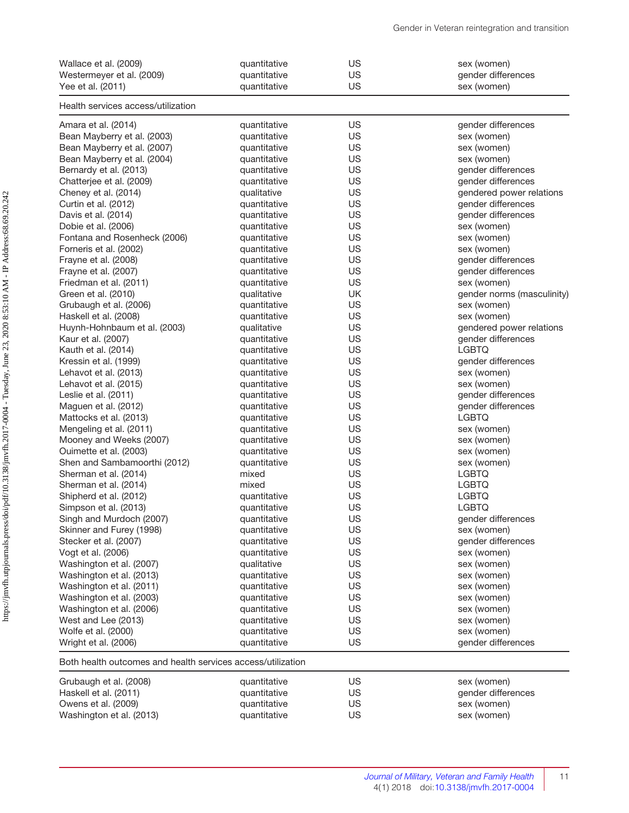| Wallace et al. (2009)<br>Westermeyer et al. (2009)          | quantitative<br>quantitative | US<br>US  | sex (women)<br>gender differences |
|-------------------------------------------------------------|------------------------------|-----------|-----------------------------------|
| Yee et al. (2011)                                           | quantitative                 | US        | sex (women)                       |
| Health services access/utilization                          |                              |           |                                   |
| Amara et al. (2014)                                         | quantitative                 | US        | gender differences                |
| Bean Mayberry et al. (2003)                                 | quantitative                 | US        | sex (women)                       |
| Bean Mayberry et al. (2007)                                 | quantitative                 | <b>US</b> | sex (women)                       |
| Bean Mayberry et al. (2004)                                 | quantitative                 | US        | sex (women)                       |
| Bernardy et al. (2013)                                      | quantitative                 | US        | gender differences                |
| Chatterjee et al. (2009)                                    | quantitative                 | US        | gender differences                |
| Cheney et al. (2014)                                        | qualitative                  | US        | gendered power relations          |
| Curtin et al. (2012)                                        | quantitative                 | US        | gender differences                |
| Davis et al. (2014)                                         | quantitative                 | US        | gender differences                |
| Dobie et al. (2006)                                         | quantitative                 | US        | sex (women)                       |
| Fontana and Rosenheck (2006)                                | quantitative                 | US        | sex (women)                       |
| Forneris et al. (2002)                                      | quantitative                 | US        | sex (women)                       |
| Frayne et al. (2008)                                        | quantitative                 | US        | gender differences                |
| Frayne et al. (2007)                                        | quantitative                 | US        | gender differences                |
| Friedman et al. (2011)                                      | quantitative                 | US        | sex (women)                       |
| Green et al. (2010)                                         | qualitative                  | UK        | gender norms (masculinity)        |
| Grubaugh et al. (2006)                                      | quantitative                 | US        | sex (women)                       |
| Haskell et al. (2008)                                       | quantitative                 | US        | sex (women)                       |
| Huynh-Hohnbaum et al. (2003)                                | qualitative                  | US        | gendered power relations          |
| Kaur et al. (2007)                                          | quantitative                 | US        | gender differences                |
| Kauth et al. (2014)                                         | quantitative                 | US        | <b>LGBTQ</b>                      |
| Kressin et al. (1999)                                       | quantitative                 | US        | gender differences                |
| Lehavot et al. (2013)                                       | quantitative                 | US        | sex (women)                       |
| Lehavot et al. (2015)                                       | quantitative                 | US        | sex (women)                       |
| Leslie et al. (2011)                                        | quantitative                 | US        | gender differences                |
| Maguen et al. (2012)                                        | quantitative                 | <b>US</b> | gender differences                |
| Mattocks et al. (2013)                                      | quantitative                 | US        | <b>LGBTQ</b>                      |
| Mengeling et al. (2011)                                     | quantitative                 | US        | sex (women)                       |
| Mooney and Weeks (2007)                                     | quantitative                 | US        | sex (women)                       |
| Ouimette et al. (2003)                                      | quantitative                 | US        | sex (women)                       |
| Shen and Sambamoorthi (2012)                                | quantitative                 | US        | sex (women)                       |
| Sherman et al. (2014)                                       | mixed                        | US        | <b>LGBTQ</b>                      |
| Sherman et al. (2014)                                       | mixed                        | US        | <b>LGBTQ</b>                      |
| Shipherd et al. (2012)                                      | quantitative                 | US        | <b>LGBTQ</b>                      |
| Simpson et al. (2013)                                       | quantitative                 | US        | <b>LGBTQ</b>                      |
| Singh and Murdoch (2007)                                    | quantitative                 | US        | gender differences                |
| Skinner and Furey (1998)                                    | quantitative                 | US        | sex (women)                       |
| Stecker et al. (2007)                                       | quantitative                 | US        | gender differences                |
| Vogt et al. (2006)                                          | quantitative                 | US        | sex (women)                       |
| Washington et al. (2007)                                    | qualitative                  | US        | sex (women)                       |
| Washington et al. (2013)                                    | quantitative                 | US        | sex (women)                       |
| Washington et al. (2011)                                    | quantitative                 | US        | sex (women)                       |
| Washington et al. (2003)                                    | quantitative                 | <b>US</b> | sex (women)                       |
| Washington et al. (2006)                                    | quantitative                 | US        | sex (women)                       |
| West and Lee (2013)                                         | quantitative                 | US        | sex (women)                       |
| Wolfe et al. (2000)                                         | quantitative                 | <b>US</b> | sex (women)                       |
| Wright et al. (2006)                                        | quantitative                 | <b>US</b> | gender differences                |
| Both health outcomes and health services access/utilization |                              |           |                                   |
| Grubaugh et al. (2008)                                      | quantitative                 | US        | sex (women)                       |
| Haskell et al. (2011)                                       | quantitative                 | <b>US</b> | gender differences                |
| Owens et al. (2009)                                         | quantitative                 | US        | sex (women)                       |
| Washington et al. (2013)                                    | quantitative                 | <b>US</b> | sex (women)                       |
|                                                             |                              |           |                                   |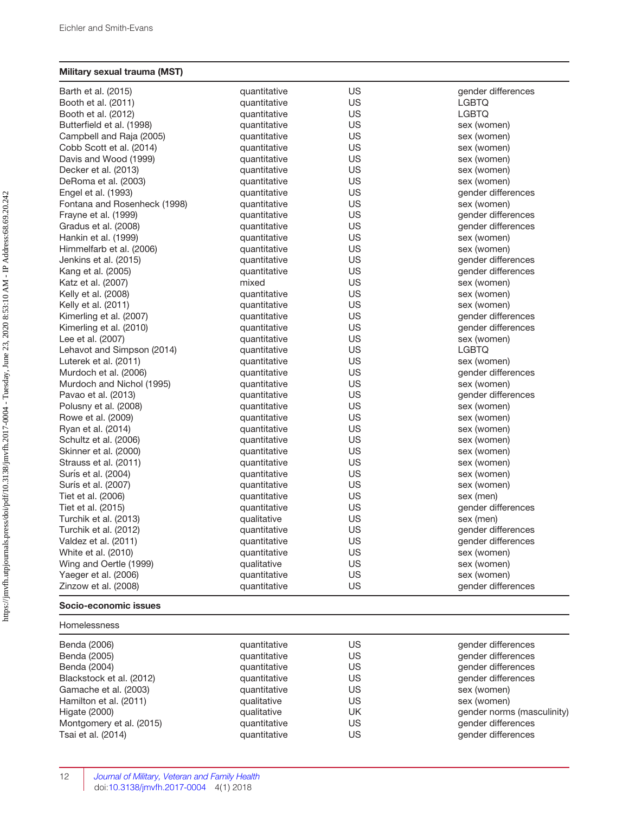#### Military sexual trauma (MST)

| Barth et al. (2015)          | quantitative | US        | gender differences |
|------------------------------|--------------|-----------|--------------------|
| Booth et al. (2011)          | quantitative | US        | <b>LGBTQ</b>       |
| Booth et al. (2012)          | quantitative | US.       | LGBTQ              |
| Butterfield et al. (1998)    | quantitative | US        | sex (women)        |
| Campbell and Raja (2005)     | quantitative | <b>US</b> | sex (women)        |
| Cobb Scott et al. (2014)     | quantitative | US.       | sex (women)        |
| Davis and Wood (1999)        | quantitative | US        | sex (women)        |
| Decker et al. (2013)         | quantitative | <b>US</b> | sex (women)        |
| DeRoma et al. (2003)         | quantitative | <b>US</b> | sex (women)        |
| Engel et al. (1993)          | quantitative | US        | gender differences |
| Fontana and Rosenheck (1998) | quantitative | US.       | sex (women)        |
| Frayne et al. (1999)         | quantitative | US        | gender differences |
| Gradus et al. (2008)         | quantitative | <b>US</b> | gender differences |
| Hankin et al. (1999)         | quantitative | <b>US</b> | sex (women)        |
| Himmelfarb et al. (2006)     | quantitative | <b>US</b> | sex (women)        |
| Jenkins et al. (2015)        | quantitative | US        | gender differences |
| Kang et al. (2005)           | quantitative | US        | gender differences |
| Katz et al. (2007)           | mixed        | <b>US</b> | sex (women)        |
| Kelly et al. (2008)          | quantitative | US        | sex (women)        |
| Kelly et al. (2011)          | quantitative | <b>US</b> | sex (women)        |
| Kimerling et al. (2007)      | quantitative | <b>US</b> | gender differences |
| Kimerling et al. (2010)      | quantitative | US        | gender differences |
| Lee et al. (2007)            | quantitative | <b>US</b> | sex (women)        |
| Lehavot and Simpson (2014)   | quantitative | US        | <b>LGBTQ</b>       |
| Luterek et al. (2011)        | quantitative | <b>US</b> | sex (women)        |
| Murdoch et al. (2006)        | quantitative | US        | gender differences |
| Murdoch and Nichol (1995)    | quantitative | US.       | sex (women)        |
| Pavao et al. (2013)          | quantitative | US        | gender differences |
| Polusny et al. (2008)        | quantitative | US        | sex (women)        |
| Rowe et al. (2009)           | quantitative | <b>US</b> | sex (women)        |
| Ryan et al. (2014)           | quantitative | US        | sex (women)        |
| Schultz et al. (2006)        | quantitative | <b>US</b> | sex (women)        |
| Skinner et al. (2000)        | quantitative | US        | sex (women)        |
| Strauss et al. (2011)        | quantitative | US        | sex (women)        |
| Surís et al. (2004)          | quantitative | US        | sex (women)        |
| Surís et al. (2007)          | quantitative | US        | sex (women)        |
| Tiet et al. (2006)           | quantitative | <b>US</b> | sex (men)          |
| Tiet et al. (2015)           | quantitative | US        | gender differences |
| Turchik et al. (2013)        | qualitative  | US.       | sex (men)          |
| Turchik et al. (2012)        | quantitative | US        | gender differences |
| Valdez et al. (2011)         | quantitative | US        | gender differences |
| White et al. (2010)          | quantitative | US        | sex (women)        |
| Wing and Oertle (1999)       | qualitative  | US        | sex (women)        |
| Yaeger et al. (2006)         | quantitative | <b>US</b> | sex (women)        |
| Zinzow et al. (2008)         | quantitative | US        | gender differences |
| Socio-economic issues        |              |           |                    |

| Homelessness |
|--------------|
|--------------|

| Benda (2006)             | quantitative | US | gender differences         |
|--------------------------|--------------|----|----------------------------|
| Benda (2005)             | quantitative | US | gender differences         |
| Benda (2004)             | quantitative | US | gender differences         |
| Blackstock et al. (2012) | quantitative | US | gender differences         |
| Gamache et al. (2003)    | quantitative | US | sex (women)                |
| Hamilton et al. (2011)   | qualitative  | US | sex (women)                |
| Higate (2000)            | qualitative  | UK | gender norms (masculinity) |
| Montgomery et al. (2015) | quantitative | US | gender differences         |
| Tsai et al. (2014)       | quantitative | US | gender differences         |
|                          |              |    |                            |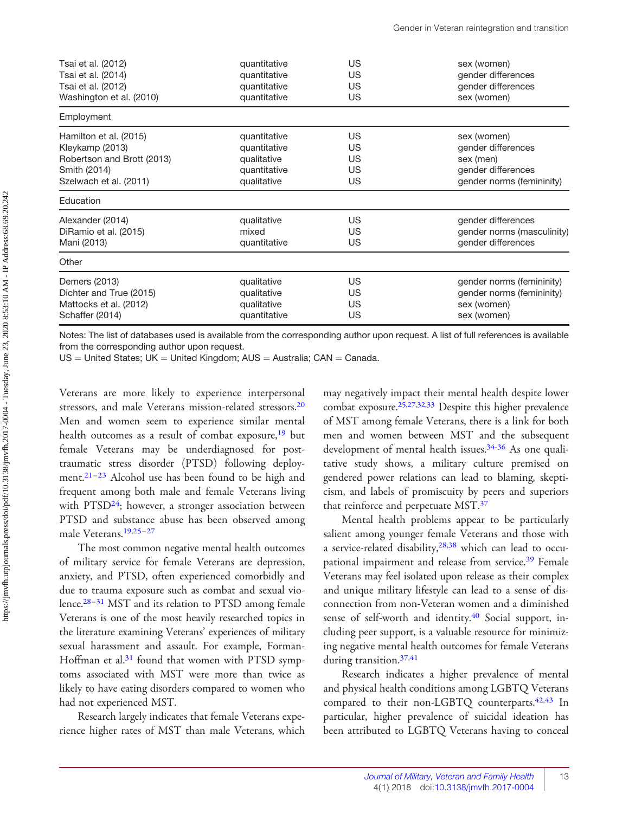<span id="page-8-0"></span>

| Tsai et al. (2012)         | quantitative | <b>US</b> | sex (women)                |
|----------------------------|--------------|-----------|----------------------------|
| Tsai et al. (2014)         | quantitative | <b>US</b> | gender differences         |
| Tsai et al. (2012)         | quantitative | <b>US</b> | gender differences         |
| Washington et al. (2010)   | quantitative | <b>US</b> | sex (women)                |
| Employment                 |              |           |                            |
| Hamilton et al. (2015)     | quantitative | <b>US</b> | sex (women)                |
| Kleykamp (2013)            | quantitative | US        | gender differences         |
| Robertson and Brott (2013) | qualitative  | US        | sex (men)                  |
| Smith (2014)               | quantitative | US        | gender differences         |
| Szelwach et al. (2011)     | qualitative  | US        | gender norms (femininity)  |
| Education                  |              |           |                            |
| Alexander (2014)           | qualitative  | <b>US</b> | gender differences         |
| DiRamio et al. (2015)      | mixed        | US        | gender norms (masculinity) |
| Mani (2013)                | quantitative | <b>US</b> | gender differences         |
| Other                      |              |           |                            |
| Demers (2013)              | qualitative  | <b>US</b> | gender norms (femininity)  |
| Dichter and True (2015)    | qualitative  | <b>US</b> | gender norms (femininity)  |
| Mattocks et al. (2012)     | qualitative  | <b>US</b> | sex (women)                |
| Schaffer (2014)            | quantitative | <b>US</b> | sex (women)                |

Notes: The list of databases used is available from the corresponding author upon request. A list of full references is available from the corresponding author upon request.

 $US =$  United States; UK  $=$  United Kingdom; AUS  $=$  Australia; CAN  $=$  Canada.

Veterans are more likely to experience interpersonal stressors, and male Veterans mission-related stressors.<sup>[20](#page-12-0)</sup> Men and women seem to experience similar mental health outcomes as a result of combat exposure,<sup>[19](#page-12-0)</sup> but female Veterans may be underdiagnosed for posttraumatic stress disorder (PTSD) following deployment.[21–23](#page-12-0) Alcohol use has been found to be high and frequent among both male and female Veterans living with PTSD<sup>24</sup>; however, a stronger association between PTSD and substance abuse has been observed among male Veterans.[19,25–27](#page-12-0)

The most common negative mental health outcomes of military service for female Veterans are depression, anxiety, and PTSD, often experienced comorbidly and due to trauma exposure such as combat and sexual violence.[28–31](#page-12-0) MST and its relation to PTSD among female Veterans is one of the most heavily researched topics in the literature examining Veterans' experiences of military sexual harassment and assault. For example, Forman-Hoffman et al.<sup>[31](#page-12-0)</sup> found that women with PTSD symptoms associated with MST were more than twice as likely to have eating disorders compared to women who had not experienced MST.

Research largely indicates that female Veterans experience higher rates of MST than male Veterans, which may negatively impact their mental health despite lower combat exposure[.25](#page-12-0),[27,32,33](#page-12-0) Despite this higher prevalence of MST among female Veterans, there is a link for both men and women between MST and the subsequent development of mental health issues.[34-36](#page-12-0) As one qualitative study shows, a military culture premised on gendered power relations can lead to blaming, skepticism, and labels of promiscuity by peers and superiors that reinforce and perpetuate MST[.37](#page-12-0)

Mental health problems appear to be particularly salient among younger female Veterans and those with a service-related disability,<sup>[28,38](#page-12-0)</sup> which can lead to occu-pational impairment and release from service.<sup>[39](#page-12-0)</sup> Female Veterans may feel isolated upon release as their complex and unique military lifestyle can lead to a sense of disconnection from non-Veteran women and a diminished sense of self-worth and identity.<sup>[40](#page-12-0)</sup> Social support, including peer support, is a valuable resource for minimizing negative mental health outcomes for female Veterans during transition.<sup>37[,41](#page-13-0)</sup>

Research indicates a higher prevalence of mental and physical health conditions among LGBTQ Veterans compared to their non-LGBTQ counterparts.<sup>[42,43](#page-13-0)</sup> In particular, higher prevalence of suicidal ideation has been attributed to LGBTQ Veterans having to conceal

13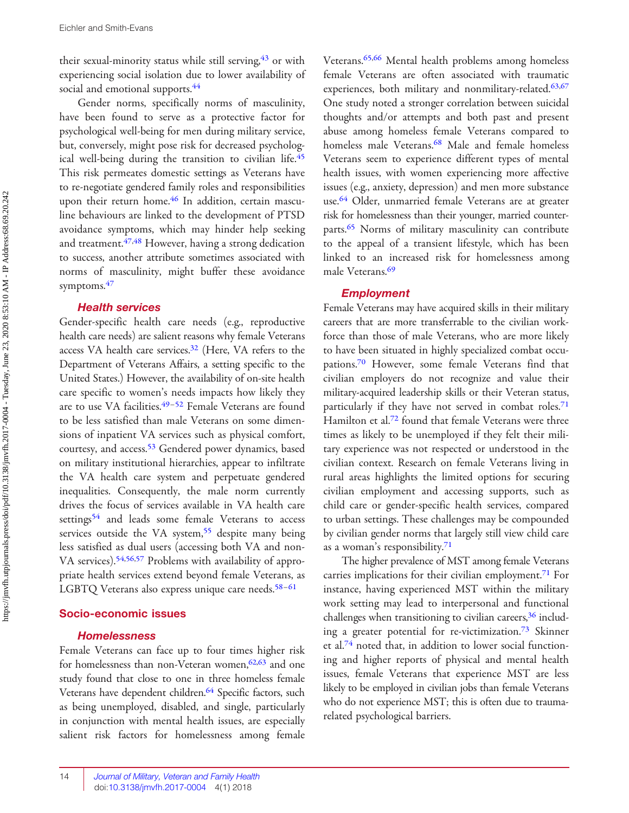<span id="page-9-0"></span>their sexual-minority status while still serving,  $43$  or with experiencing social isolation due to lower availability of social and emotional supports.<sup>44</sup>

Gender norms, specifically norms of masculinity, have been found to serve as a protective factor for psychological well-being for men during military service, but, conversely, might pose risk for decreased psycholog-ical well-being during the transition to civilian life.<sup>[45](#page-13-0)</sup> This risk permeates domestic settings as Veterans have to re-negotiate gendered family roles and responsibilities upon their return home.<sup>[46](#page-13-0)</sup> In addition, certain masculine behaviours are linked to the development of PTSD avoidance symptoms, which may hinder help seeking and treatment.<sup>47,48</sup> However, having a strong dedication to success, another attribute sometimes associated with norms of masculinity, might buffer these avoidance symptoms.<sup>[47](#page-13-0)</sup>

#### Health services

Gender-specific health care needs (e.g., reproductive health care needs) are salient reasons why female Veterans access VA health care services.<sup>32</sup> (Here, VA refers to the Department of Veterans Affairs, a setting specific to the United States.) However, the availability of on-site health care specific to women's needs impacts how likely they are to use VA facilities.<sup>49-[52](#page-13-0)</sup> Female Veterans are found to be less satisfied than male Veterans on some dimensions of inpatient VA services such as physical comfort, courtesy, and access.<sup>[53](#page-13-0)</sup> Gendered power dynamics, based on military institutional hierarchies, appear to infiltrate the VA health care system and perpetuate gendered inequalities. Consequently, the male norm currently drives the focus of services available in VA health care settings<sup>54</sup> and leads some female Veterans to access services outside the VA system,<sup>[55](#page-13-0)</sup> despite many being less satisfied as dual users (accessing both VA and non-VA services).[54,56,57](#page-13-0) Problems with availability of appropriate health services extend beyond female Veterans, as LGBTQ Veterans also express unique care needs.<sup>[58](#page-13-0)-[61](#page-13-0)</sup>

#### Socio-economic issues

#### Homelessness

Female Veterans can face up to four times higher risk for homelessness than non-Veteran women,  $62,63$  $62,63$  and one study found that close to one in three homeless female Veterans have dependent children.<sup>64</sup> Specific factors, such as being unemployed, disabled, and single, particularly in conjunction with mental health issues, are especially salient risk factors for homelessness among female Veterans.<sup>[65,66](#page-14-0)</sup> Mental health problems among homeless female Veterans are often associated with traumatic experiences, both military and nonmilitary-related.<sup>[63](#page-14-0),[67](#page-14-0)</sup> One study noted a stronger correlation between suicidal thoughts and/or attempts and both past and present abuse among homeless female Veterans compared to homeless male Veterans.<sup>[68](#page-14-0)</sup> Male and female homeless Veterans seem to experience different types of mental health issues, with women experiencing more affective issues (e.g., anxiety, depression) and men more substance use.<sup>[64](#page-14-0)</sup> Older, unmarried female Veterans are at greater risk for homelessness than their younger, married counter-parts.<sup>[65](#page-14-0)</sup> Norms of military masculinity can contribute to the appeal of a transient lifestyle, which has been linked to an increased risk for homelessness among male Veterans.<sup>[69](#page-14-0)</sup>

#### Employment

Female Veterans may have acquired skills in their military careers that are more transferrable to the civilian workforce than those of male Veterans, who are more likely to have been situated in highly specialized combat occupations.[70](#page-14-0) However, some female Veterans find that civilian employers do not recognize and value their military-acquired leadership skills or their Veteran status, particularly if they have not served in combat roles.<sup>[71](#page-14-0)</sup> Hamilton et al.<sup>72</sup> found that female Veterans were three times as likely to be unemployed if they felt their military experience was not respected or understood in the civilian context. Research on female Veterans living in rural areas highlights the limited options for securing civilian employment and accessing supports, such as child care or gender-specific health services, compared to urban settings. These challenges may be compounded by civilian gender norms that largely still view child care as a woman's responsibility[.71](#page-14-0)

The higher prevalence of MST among female Veterans carries implications for their civilian employment.<sup>[71](#page-14-0)</sup> For instance, having experienced MST within the military work setting may lead to interpersonal and functional challenges when transitioning to civilian careers,<sup>36</sup> including a greater potential for re-victimization.[73](#page-14-0) Skinner et al.[74](#page-14-0) noted that, in addition to lower social functioning and higher reports of physical and mental health issues, female Veterans that experience MST are less likely to be employed in civilian jobs than female Veterans who do not experience MST; this is often due to traumarelated psychological barriers.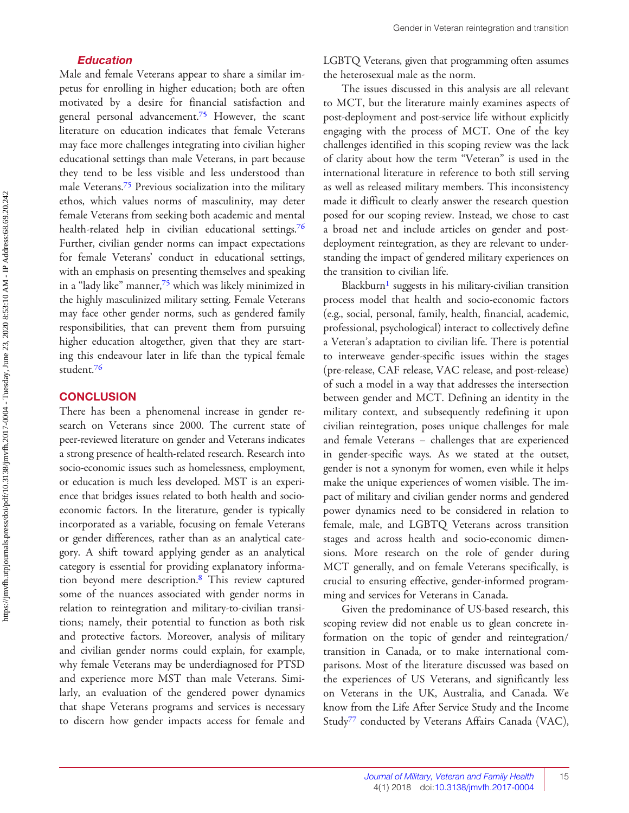#### Education

<span id="page-10-0"></span>Male and female Veterans appear to share a similar impetus for enrolling in higher education; both are often motivated by a desire for financial satisfaction and general personal advancement.<sup>[75](#page-14-0)</sup> However, the scant literature on education indicates that female Veterans may face more challenges integrating into civilian higher educational settings than male Veterans, in part because they tend to be less visible and less understood than male Veterans.[75](#page-14-0) Previous socialization into the military ethos, which values norms of masculinity, may deter female Veterans from seeking both academic and mental health-related help in civilian educational settings.<sup>[76](#page-14-0)</sup> Further, civilian gender norms can impact expectations for female Veterans' conduct in educational settings, with an emphasis on presenting themselves and speaking in a "lady like" manner,<sup>[75](#page-14-0)</sup> which was likely minimized in the highly masculinized military setting. Female Veterans may face other gender norms, such as gendered family responsibilities, that can prevent them from pursuing higher education altogether, given that they are starting this endeavour later in life than the typical female student.[76](#page-14-0)

#### **CONCLUSION**

There has been a phenomenal increase in gender research on Veterans since 2000. The current state of peer-reviewed literature on gender and Veterans indicates a strong presence of health-related research. Research into socio-economic issues such as homelessness, employment, or education is much less developed. MST is an experience that bridges issues related to both health and socioeconomic factors. In the literature, gender is typically incorporated as a variable, focusing on female Veterans or gender differences, rather than as an analytical category. A shift toward applying gender as an analytical category is essential for providing explanatory information beyond mere description.[8](#page-11-0) This review captured some of the nuances associated with gender norms in relation to reintegration and military-to-civilian transitions; namely, their potential to function as both risk and protective factors. Moreover, analysis of military and civilian gender norms could explain, for example, why female Veterans may be underdiagnosed for PTSD and experience more MST than male Veterans. Similarly, an evaluation of the gendered power dynamics that shape Veterans programs and services is necessary to discern how gender impacts access for female and LGBTQ Veterans, given that programming often assumes the heterosexual male as the norm.

The issues discussed in this analysis are all relevant to MCT, but the literature mainly examines aspects of post-deployment and post-service life without explicitly engaging with the process of MCT. One of the key challenges identified in this scoping review was the lack of clarity about how the term ''Veteran'' is used in the international literature in reference to both still serving as well as released military members. This inconsistency made it difficult to clearly answer the research question posed for our scoping review. Instead, we chose to cast a broad net and include articles on gender and postdeployment reintegration, as they are relevant to understanding the impact of gendered military experiences on the transition to civilian life.

Blackburn<sup>1</sup> suggests in his military-civilian transition process model that health and socio-economic factors (e.g., social, personal, family, health, financial, academic, professional, psychological) interact to collectively define a Veteran's adaptation to civilian life. There is potential to interweave gender-specific issues within the stages (pre-release, CAF release, VAC release, and post-release) of such a model in a way that addresses the intersection between gender and MCT. Defining an identity in the military context, and subsequently redefining it upon civilian reintegration, poses unique challenges for male and female Veterans – challenges that are experienced in gender-specific ways. As we stated at the outset, gender is not a synonym for women, even while it helps make the unique experiences of women visible. The impact of military and civilian gender norms and gendered power dynamics need to be considered in relation to female, male, and LGBTQ Veterans across transition stages and across health and socio-economic dimensions. More research on the role of gender during MCT generally, and on female Veterans specifically, is crucial to ensuring effective, gender-informed programming and services for Veterans in Canada.

Given the predominance of US-based research, this scoping review did not enable us to glean concrete information on the topic of gender and reintegration/ transition in Canada, or to make international comparisons. Most of the literature discussed was based on the experiences of US Veterans, and significantly less on Veterans in the UK, Australia, and Canada. We know from the Life After Service Study and the Income Study[77](#page-14-0) conducted by Veterans Affairs Canada (VAC),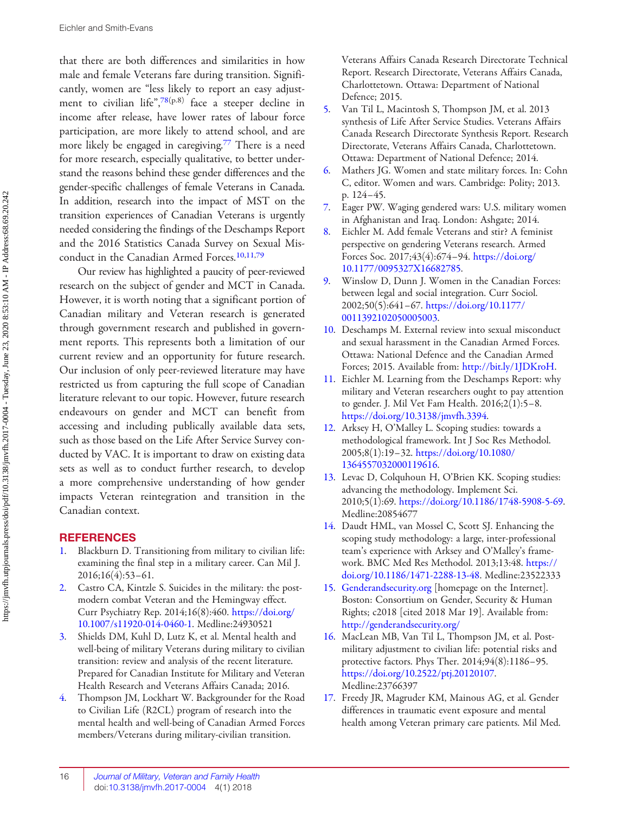<span id="page-11-0"></span>that there are both differences and similarities in how male and female Veterans fare during transition. Significantly, women are "less likely to report an easy adjust-ment to civilian life", [78](#page-14-0)(p.8) face a steeper decline in income after release, have lower rates of labour force participation, are more likely to attend school, and are more likely be engaged in caregiving.<sup>77</sup> There is a need for more research, especially qualitative, to better understand the reasons behind these gender differences and the gender-specific challenges of female Veterans in Canada. In addition, research into the impact of MST on the transition experiences of Canadian Veterans is urgently needed considering the findings of the Deschamps Report and the 2016 Statistics Canada Survey on Sexual Mis-conduct in the Canadian Armed Forces.<sup>10,11[,79](#page-14-0)</sup>

Our review has highlighted a paucity of peer-reviewed research on the subject of gender and MCT in Canada. However, it is worth noting that a significant portion of Canadian military and Veteran research is generated through government research and published in government reports. This represents both a limitation of our current review and an opportunity for future research. Our inclusion of only peer-reviewed literature may have restricted us from capturing the full scope of Canadian literature relevant to our topic. However, future research endeavours on gender and MCT can benefit from accessing and including publically available data sets, such as those based on the Life After Service Survey conducted by VAC. It is important to draw on existing data sets as well as to conduct further research, to develop a more comprehensive understanding of how gender impacts Veteran reintegration and transition in the Canadian context.

#### **REFERENCES**

- [1](#page-1-0). Blackburn D. Transitioning from military to civilian life: examining the final step in a military career. Can Mil J. 2016;16(4):53–61.
- [2](#page-1-0). Castro CA, Kintzle S. Suicides in the military: the postmodern combat Veteran and the Hemingway effect. Curr Psychiatry Rep. 2014;16(8):460. [https://doi.org/](https://doi.org/10.1007/s11920-014-0460-1) [10.1007/s11920-014-0460-1](https://doi.org/10.1007/s11920-014-0460-1). Medline:24930521
- [3](#page-1-0). Shields DM, Kuhl D, Lutz K, et al. Mental health and well-being of military Veterans during military to civilian transition: review and analysis of the recent literature. Prepared for Canadian Institute for Military and Veteran Health Research and Veterans Affairs Canada; 2016.
- [4](#page-1-0). Thompson JM, Lockhart W. Backgrounder for the Road to Civilian Life (R2CL) program of research into the mental health and well-being of Canadian Armed Forces members/Veterans during military-civilian transition.

Veterans Affairs Canada Research Directorate Technical Report. Research Directorate, Veterans Affairs Canada, Charlottetown. Ottawa: Department of National Defence; 2015.

- [5](#page-1-0). Van Til L, Macintosh S, Thompson JM, et al. 2013 synthesis of Life After Service Studies. Veterans Affairs Canada Research Directorate Synthesis Report. Research Directorate, Veterans Affairs Canada, Charlottetown. Ottawa: Department of National Defence; 2014.
- [6.](#page-1-0) Mathers JG. Women and state military forces. In: Cohn C, editor. Women and wars. Cambridge: Polity; 2013. p. 124–45.
- [7](#page-1-0). Eager PW. Waging gendered wars: U.S. military women in Afghanistan and Iraq. London: Ashgate; 2014.
- [8](#page-1-0). Eichler M. Add female Veterans and stir? A feminist perspective on gendering Veterans research. Armed Forces Soc. 2017;43(4):674–94. [https://doi.org/](https://doi.org/10.1177/0095327X16682785) [10.1177/0095327X16682785.](https://doi.org/10.1177/0095327X16682785)
- [9](#page-1-0). Winslow D, Dunn J. Women in the Canadian Forces: between legal and social integration. Curr Sociol. 2002;50(5):641–67. [https://doi.org/10.1177/](https://doi.org/10.1177/0011392102050005003) [0011392102050005003.](https://doi.org/10.1177/0011392102050005003)
- [10](#page-1-0). Deschamps M. External review into sexual misconduct and sexual harassment in the Canadian Armed Forces. Ottawa: National Defence and the Canadian Armed Forces; 2015. Available from: [http://bit.ly/1JDKroH.](http://bit.ly/1JDKroH)
- [11](#page-1-0). Eichler M. Learning from the Deschamps Report: why military and Veteran researchers ought to pay attention to gender. J. Mil Vet Fam Health. 2016;2(1):5–8. <https://doi.org/10.3138/jmvfh.3394>.
- [12](#page-1-0). Arksey H, O'Malley L. Scoping studies: towards a methodological framework. Int J Soc Res Methodol. 2005;8(1):19–32. [https://doi.org/10.1080/](https://doi.org/10.1080/1364557032000119616) [1364557032000119616.](https://doi.org/10.1080/1364557032000119616)
- [13](#page-1-0). Levac D, Colquhoun H, O'Brien KK. Scoping studies: advancing the methodology. Implement Sci. 2010;5(1):69. <https://doi.org/10.1186/1748-5908-5-69>. Medline:20854677
- [14](#page-1-0). Daudt HML, van Mossel C, Scott SJ. Enhancing the scoping study methodology: a large, inter-professional team's experience with Arksey and O'Malley's framework. BMC Med Res Methodol. 2013;13:48. [https://](https://doi.org/10.1186/1471-2288-13-48) [doi.org/10.1186/1471-2288-13-48](https://doi.org/10.1186/1471-2288-13-48). Medline:23522333
- [15](#page-1-0). Genderandsecurity.org [homepage on the Internet]. Boston: Consortium on Gender, Security & Human Rights; c2018 [cited 2018 Mar 19]. Available from: <http://genderandsecurity.org/>
- [16](#page-2-0). MacLean MB, Van Til L, Thompson JM, et al. Postmilitary adjustment to civilian life: potential risks and protective factors. Phys Ther. 2014;94(8):1186–95. <https://doi.org/10.2522/ptj.20120107>. Medline:23766397
- [17](#page-4-0). Freedy JR, Magruder KM, Mainous AG, et al. Gender differences in traumatic event exposure and mental health among Veteran primary care patients. Mil Med.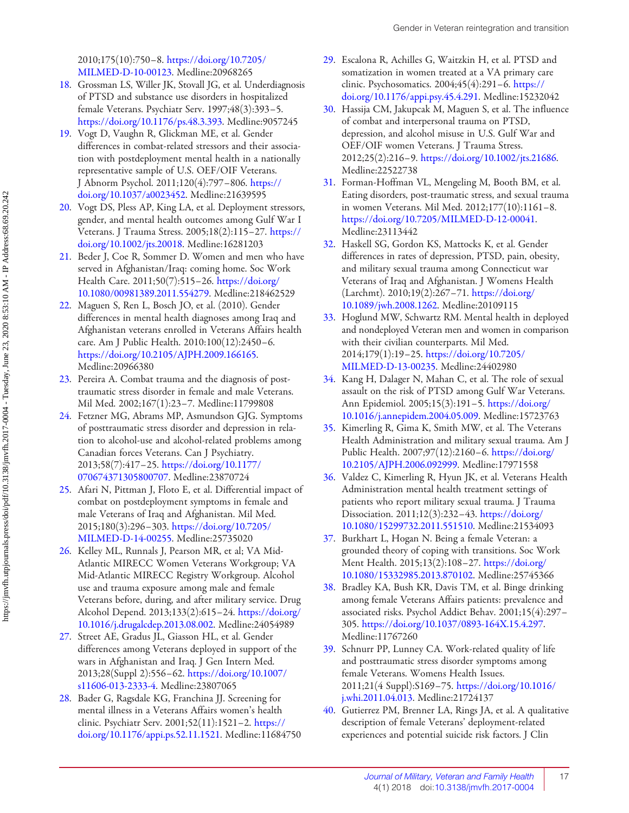<span id="page-12-0"></span>2010;175(10):750–8. [https://doi.org/10.7205/](https://doi.org/10.7205/MILMED-D-10-00123) [MILMED-D-10-00123](https://doi.org/10.7205/MILMED-D-10-00123). Medline:20968265

- [18](#page-4-0). Grossman LS, Willer JK, Stovall JG, et al. Underdiagnosis of PTSD and substance use disorders in hospitalized female Veterans. Psychiatr Serv. 1997;48(3):393–5. <https://doi.org/10.1176/ps.48.3.393>. Medline:9057245
- [19.](#page-4-0) Vogt D, Vaughn R, Glickman ME, et al. Gender differences in combat-related stressors and their association with postdeployment mental health in a nationally representative sample of U.S. OEF/OIF Veterans. J Abnorm Psychol. 2011;120(4):797–806. [https://](https://doi.org/10.1037/a0023452) [doi.org/10.1037/a0023452.](https://doi.org/10.1037/a0023452) Medline:21639595
- [20](#page-8-0). Vogt DS, Pless AP, King LA, et al. Deployment stressors, gender, and mental health outcomes among Gulf War I Veterans. J Trauma Stress. 2005;18(2):115–27. [https://](https://doi.org/10.1002/jts.20018) [doi.org/10.1002/jts.20018.](https://doi.org/10.1002/jts.20018) Medline:16281203
- [21](#page-8-0). Beder J, Coe R, Sommer D. Women and men who have served in Afghanistan/Iraq: coming home. Soc Work Health Care. 2011;50(7):515–26. [https://doi.org/](https://doi.org/10.1080/00981389.2011.554279) [10.1080/00981389.2011.554279](https://doi.org/10.1080/00981389.2011.554279). Medline:218462529
- [22](#page-8-0). Maguen S, Ren L, Bosch JO, et al. (2010). Gender differences in mental health diagnoses among Iraq and Afghanistan veterans enrolled in Veterans Affairs health care. Am J Public Health. 2010:100(12):2450–6. <https://doi.org/10.2105/AJPH.2009.166165>. Medline:20966380
- [23](#page-8-0). Pereira A. Combat trauma and the diagnosis of posttraumatic stress disorder in female and male Veterans. Mil Med. 2002;167(1):23–7. Medline:11799808
- [24](#page-8-0). Fetzner MG, Abrams MP, Asmundson GJG. Symptoms of posttraumatic stress disorder and depression in relation to alcohol-use and alcohol-related problems among Canadian forces Veterans. Can J Psychiatry. 2013;58(7):417–25. [https://doi.org/10.1177/](https://doi.org/10.1177/070674371305800707) [070674371305800707.](https://doi.org/10.1177/070674371305800707) Medline:23870724
- [25](#page-8-0). Afari N, Pittman J, Floto E, et al. Differential impact of combat on postdeployment symptoms in female and male Veterans of Iraq and Afghanistan. Mil Med. 2015;180(3):296–303. [https://doi.org/10.7205/](https://doi.org/10.7205/MILMED-D-14-00255) [MILMED-D-14-00255](https://doi.org/10.7205/MILMED-D-14-00255). Medline:25735020
- [26](#page-8-0). Kelley ML, Runnals J, Pearson MR, et al; VA Mid-Atlantic MIRECC Women Veterans Workgroup; VA Mid-Atlantic MIRECC Registry Workgroup. Alcohol use and trauma exposure among male and female Veterans before, during, and after military service. Drug Alcohol Depend. 2013;133(2):615–24. [https://doi.org/](https://doi.org/10.1016/j.drugalcdep.2013.08.002) [10.1016/j.drugalcdep.2013.08.002.](https://doi.org/10.1016/j.drugalcdep.2013.08.002) Medline:24054989
- [27](#page-8-0). Street AE, Gradus JL, Giasson HL, et al. Gender differences among Veterans deployed in support of the wars in Afghanistan and Iraq. J Gen Intern Med. 2013;28(Suppl 2):556–62. [https://doi.org/10.1007/](https://doi.org/10.1007/s11606-013-2333-4) [s11606-013-2333-4.](https://doi.org/10.1007/s11606-013-2333-4) Medline:23807065
- [28](#page-8-0). Bader G, Ragsdale KG, Franchina JJ. Screening for mental illness in a Veterans Affairs women's health clinic. Psychiatr Serv. 2001;52(11):1521–2. [https://](https://doi.org/10.1176/appi.ps.52.11.1521) [doi.org/10.1176/appi.ps.52.11.1521](https://doi.org/10.1176/appi.ps.52.11.1521). Medline:11684750
- [29](#page-8-0). Escalona R, Achilles G, Waitzkin H, et al. PTSD and somatization in women treated at a VA primary care clinic. Psychosomatics. 2004;45(4):291–6. [https://](https://doi.org/10.1176/appi.psy.45.4.291) [doi.org/10.1176/appi.psy.45.4.291.](https://doi.org/10.1176/appi.psy.45.4.291) Medline:15232042
- [30](#page-8-0). Hassija CM, Jakupcak M, Maguen S, et al. The influence of combat and interpersonal trauma on PTSD, depression, and alcohol misuse in U.S. Gulf War and OEF/OIF women Veterans. J Trauma Stress. 2012;25(2):216–9. [https://doi.org/10.1002/jts.21686.](https://doi.org/10.1002/jts.21686) Medline:22522738
- [31](#page-8-0). Forman-Hoffman VL, Mengeling M, Booth BM, et al. Eating disorders, post-traumatic stress, and sexual trauma in women Veterans. Mil Med. 2012;177(10):1161–8. <https://doi.org/10.7205/MILMED-D-12-00041>. Medline:23113442
- [32](#page-8-0). Haskell SG, Gordon KS, Mattocks K, et al. Gender differences in rates of depression, PTSD, pain, obesity, and military sexual trauma among Connecticut war Veterans of Iraq and Afghanistan. J Womens Health (Larchmt). 2010;19(2):267–71. [https://doi.org/](https://doi.org/10.1089/jwh.2008.1262) [10.1089/jwh.2008.1262.](https://doi.org/10.1089/jwh.2008.1262) Medline:20109115
- [33](#page-8-0). Hoglund MW, Schwartz RM. Mental health in deployed and nondeployed Veteran men and women in comparison with their civilian counterparts. Mil Med. 2014;179(1):19–25. [https://doi.org/10.7205/](https://doi.org/10.7205/MILMED-D-13-00235) [MILMED-D-13-00235](https://doi.org/10.7205/MILMED-D-13-00235). Medline:24402980
- [34](#page-8-0). Kang H, Dalager N, Mahan C, et al. The role of sexual assault on the risk of PTSD among Gulf War Veterans. Ann Epidemiol. 2005;15(3):191–5. [https://doi.org/](https://doi.org/10.1016/j.annepidem.2004.05.009) [10.1016/j.annepidem.2004.05.009.](https://doi.org/10.1016/j.annepidem.2004.05.009) Medline:15723763
- [35](#page-8-0). Kimerling R, Gima K, Smith MW, et al. The Veterans Health Administration and military sexual trauma. Am J Public Health. 2007;97(12):2160–6. [https://doi.org/](https://doi.org/10.2105/AJPH.2006.092999) [10.2105/AJPH.2006.092999](https://doi.org/10.2105/AJPH.2006.092999). Medline:17971558
- [36](#page-8-0). Valdez C, Kimerling R, Hyun JK, et al. Veterans Health Administration mental health treatment settings of patients who report military sexual trauma. J Trauma Dissociation. 2011;12(3):232–43. [https://doi.org/](https://doi.org/10.1080/15299732.2011.551510) [10.1080/15299732.2011.551510.](https://doi.org/10.1080/15299732.2011.551510) Medline:21534093
- [37](#page-8-0). Burkhart L, Hogan N. Being a female Veteran: a grounded theory of coping with transitions. Soc Work Ment Health. 2015;13(2):108–27. [https://doi.org/](https://doi.org/10.1080/15332985.2013.870102) [10.1080/15332985.2013.870102.](https://doi.org/10.1080/15332985.2013.870102) Medline:25745366
- [38](#page-8-0). Bradley KA, Bush KR, Davis TM, et al. Binge drinking among female Veterans Affairs patients: prevalence and associated risks. Psychol Addict Behav. 2001;15(4):297– 305. <https://doi.org/10.1037/0893-164X.15.4.297>. Medline:11767260
- [39](#page-8-0). Schnurr PP, Lunney CA. Work-related quality of life and posttraumatic stress disorder symptoms among female Veterans. Womens Health Issues. 2011;21(4 Suppl):S169–75. [https://doi.org/10.1016/](https://doi.org/10.1016/j.whi.2011.04.013) [j.whi.2011.04.013.](https://doi.org/10.1016/j.whi.2011.04.013) Medline:21724137
- [40](#page-8-0). Gutierrez PM, Brenner LA, Rings JA, et al. A qualitative description of female Veterans' deployment-related experiences and potential suicide risk factors. J Clin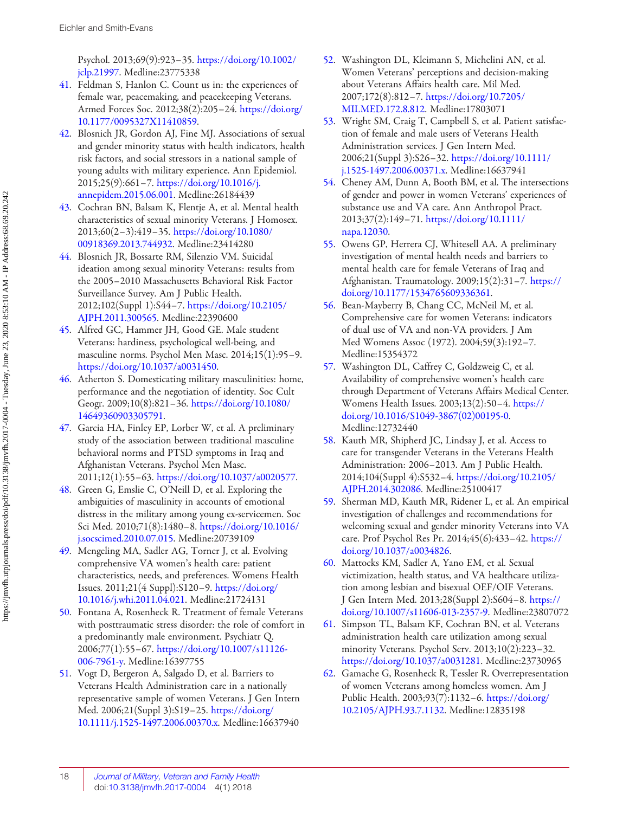<span id="page-13-0"></span>Psychol. 2013;69(9):923–35. [https://doi.org/10.1002/](https://doi.org/10.1002/jclp.21997) [jclp.21997](https://doi.org/10.1002/jclp.21997). Medline:23775338

- [41](#page-8-0). Feldman S, Hanlon C. Count us in: the experiences of female war, peacemaking, and peacekeeping Veterans. Armed Forces Soc. 2012;38(2):205–24. [https://doi.org/](https://doi.org/10.1177/0095327X11410859) [10.1177/0095327X11410859.](https://doi.org/10.1177/0095327X11410859)
- [42](#page-8-0). Blosnich JR, Gordon AJ, Fine MJ. Associations of sexual and gender minority status with health indicators, health risk factors, and social stressors in a national sample of young adults with military experience. Ann Epidemiol. 2015;25(9):661–7. [https://doi.org/10.1016/j.](https://doi.org/10.1016/j.annepidem.2015.06.001) [annepidem.2015.06.001.](https://doi.org/10.1016/j.annepidem.2015.06.001) Medline:26184439
- [43](#page-8-0). Cochran BN, Balsam K, Flentje A, et al. Mental health characteristics of sexual minority Veterans. J Homosex. 2013;60(2–3):419–35. [https://doi.org/10.1080/](https://doi.org/10.1080/00918369.2013.744932) [00918369.2013.744932.](https://doi.org/10.1080/00918369.2013.744932) Medline:23414280
- [44](#page-9-0). Blosnich JR, Bossarte RM, Silenzio VM. Suicidal ideation among sexual minority Veterans: results from the 2005–2010 Massachusetts Behavioral Risk Factor Surveillance Survey. Am J Public Health. 2012;102(Suppl 1):S44–7. [https://doi.org/10.2105/](https://doi.org/10.2105/AJPH.2011.300565) [AJPH.2011.300565.](https://doi.org/10.2105/AJPH.2011.300565) Medline:22390600
- [45](#page-9-0). Alfred GC, Hammer JH, Good GE. Male student Veterans: hardiness, psychological well-being, and masculine norms. Psychol Men Masc. 2014;15(1):95–9. [https://doi.org/10.1037/a0031450.](https://doi.org/10.1037/a0031450)
- [46](#page-9-0). Atherton S. Domesticating military masculinities: home, performance and the negotiation of identity. Soc Cult Geogr. 2009;10(8):821–36. [https://doi.org/10.1080/](https://doi.org/10.1080/14649360903305791) [14649360903305791.](https://doi.org/10.1080/14649360903305791)
- [47](#page-9-0). Garcia HA, Finley EP, Lorber W, et al. A preliminary study of the association between traditional masculine behavioral norms and PTSD symptoms in Iraq and Afghanistan Veterans. Psychol Men Masc. 2011;12(1):55–63. <https://doi.org/10.1037/a0020577>.
- [48](#page-9-0). Green G, Emslie C, O'Neill D, et al. Exploring the ambiguities of masculinity in accounts of emotional distress in the military among young ex-servicemen. Soc Sci Med. 2010;71(8):1480–8. [https://doi.org/10.1016/](https://doi.org/10.1016/j.socscimed.2010.07.015) [j.socscimed.2010.07.015.](https://doi.org/10.1016/j.socscimed.2010.07.015) Medline:20739109
- [49](#page-9-0). Mengeling MA, Sadler AG, Torner J, et al. Evolving comprehensive VA women's health care: patient characteristics, needs, and preferences. Womens Health Issues. 2011;21(4 Suppl):S120–9. [https://doi.org/](https://doi.org/10.1016/j.whi.2011.04.021) [10.1016/j.whi.2011.04.021](https://doi.org/10.1016/j.whi.2011.04.021). Medline:21724131
- [50](#page-9-0). Fontana A, Rosenheck R. Treatment of female Veterans with posttraumatic stress disorder: the role of comfort in a predominantly male environment. Psychiatr Q. 2006;77(1):55–67. [https://doi.org/10.1007/s11126-](https://doi.org/10.1007/s11126-006-7961-y) [006-7961-y](https://doi.org/10.1007/s11126-006-7961-y). Medline:16397755
- [51](#page-9-0). Vogt D, Bergeron A, Salgado D, et al. Barriers to Veterans Health Administration care in a nationally representative sample of women Veterans. J Gen Intern Med. 2006;21(Suppl 3):S19–25. [https://doi.org/](https://doi.org/10.1111/j.1525-1497.2006.00370.x) [10.1111/j.1525-1497.2006.00370.x](https://doi.org/10.1111/j.1525-1497.2006.00370.x). Medline:16637940
- [52.](#page-9-0) Washington DL, Kleimann S, Michelini AN, et al. Women Veterans' perceptions and decision-making about Veterans Affairs health care. Mil Med. 2007;172(8):812–7. [https://doi.org/10.7205/](https://doi.org/10.7205/MILMED.172.8.812) [MILMED.172.8.812.](https://doi.org/10.7205/MILMED.172.8.812) Medline:17803071
- [53](#page-9-0). Wright SM, Craig T, Campbell S, et al. Patient satisfaction of female and male users of Veterans Health Administration services. J Gen Intern Med. 2006;21(Suppl 3):S26–32. [https://doi.org/10.1111/](https://doi.org/10.1111/j.1525-1497.2006.00371.x) [j.1525-1497.2006.00371.x.](https://doi.org/10.1111/j.1525-1497.2006.00371.x) Medline:16637941
- [54](#page-9-0). Cheney AM, Dunn A, Booth BM, et al. The intersections of gender and power in women Veterans' experiences of substance use and VA care. Ann Anthropol Pract. 2013;37(2):149–71. [https://doi.org/10.1111/](https://doi.org/10.1111/napa.12030) [napa.12030.](https://doi.org/10.1111/napa.12030)
- [55](#page-9-0). Owens GP, Herrera CJ, Whitesell AA. A preliminary investigation of mental health needs and barriers to mental health care for female Veterans of Iraq and Afghanistan. Traumatology. 2009;15(2):31–7. [https://](https://doi.org/10.1177/1534765609336361) [doi.org/10.1177/1534765609336361.](https://doi.org/10.1177/1534765609336361)
- [56](#page-9-0). Bean-Mayberry B, Chang CC, McNeil M, et al. Comprehensive care for women Veterans: indicators of dual use of VA and non-VA providers. J Am Med Womens Assoc (1972). 2004;59(3):192–7. Medline:15354372
- [57](#page-9-0). Washington DL, Caffrey C, Goldzweig C, et al. Availability of comprehensive women's health care through Department of Veterans Affairs Medical Center. Womens Health Issues. 2003;13(2):50–4. [https://](https://doi.org/10.1016/S1049-3867(02)00195-0) [doi.org/10.1016/S1049-3867\(02\)00195-0](https://doi.org/10.1016/S1049-3867(02)00195-0). Medline:12732440
- [58](#page-9-0). Kauth MR, Shipherd JC, Lindsay J, et al. Access to care for transgender Veterans in the Veterans Health Administration: 2006–2013. Am J Public Health. 2014;104(Suppl 4):S532–4. [https://doi.org/10.2105/](https://doi.org/10.2105/AJPH.2014.302086) [AJPH.2014.302086.](https://doi.org/10.2105/AJPH.2014.302086) Medline:25100417
- [59](#page-9-0). Sherman MD, Kauth MR, Ridener L, et al. An empirical investigation of challenges and recommendations for welcoming sexual and gender minority Veterans into VA care. Prof Psychol Res Pr. 2014;45(6):433–42. [https://](https://doi.org/10.1037/a0034826) [doi.org/10.1037/a0034826.](https://doi.org/10.1037/a0034826)
- [60](#page-9-0). Mattocks KM, Sadler A, Yano EM, et al. Sexual victimization, health status, and VA healthcare utilization among lesbian and bisexual OEF/OIF Veterans. J Gen Intern Med. 2013;28(Suppl 2):S604–8. [https://](https://doi.org/10.1007/s11606-013-2357-9) [doi.org/10.1007/s11606-013-2357-9](https://doi.org/10.1007/s11606-013-2357-9). Medline:23807072
- [61](#page-9-0). Simpson TL, Balsam KF, Cochran BN, et al. Veterans administration health care utilization among sexual minority Veterans. Psychol Serv. 2013;10(2):223–32. [https://doi.org/10.1037/a0031281.](https://doi.org/10.1037/a0031281) Medline:23730965
- [62](#page-9-0). Gamache G, Rosenheck R, Tessler R. Overrepresentation of women Veterans among homeless women. Am J Public Health. 2003;93(7):1132–6. [https://doi.org/](https://doi.org/10.2105/AJPH.93.7.1132) [10.2105/AJPH.93.7.1132.](https://doi.org/10.2105/AJPH.93.7.1132) Medline:12835198